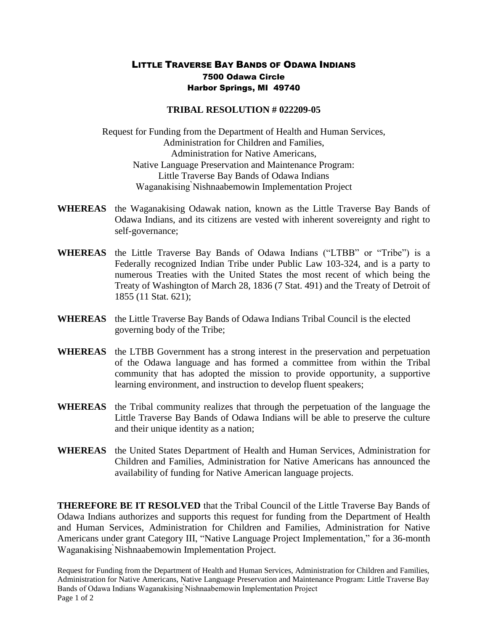## LITTLE TRAVERSE BAY BANDS OF ODAWA INDIANS 7500 Odawa Circle Harbor Springs, MI 49740

## **TRIBAL RESOLUTION # 022209-05**

Request for Funding from the Department of Health and Human Services, Administration for Children and Families, Administration for Native Americans, Native Language Preservation and Maintenance Program: Little Traverse Bay Bands of Odawa Indians Waganakising ̀Nishnaabemowin Implementation Project

- **WHEREAS** the Waganakising Odawak nation, known as the Little Traverse Bay Bands of Odawa Indians, and its citizens are vested with inherent sovereignty and right to self-governance;
- **WHEREAS** the Little Traverse Bay Bands of Odawa Indians ("LTBB" or "Tribe") is a Federally recognized Indian Tribe under Public Law 103-324, and is a party to numerous Treaties with the United States the most recent of which being the Treaty of Washington of March 28, 1836 (7 Stat. 491) and the Treaty of Detroit of 1855 (11 Stat. 621);
- **WHEREAS** the Little Traverse Bay Bands of Odawa Indians Tribal Council is the elected governing body of the Tribe;
- **WHEREAS** the LTBB Government has a strong interest in the preservation and perpetuation of the Odawa language and has formed a committee from within the Tribal community that has adopted the mission to provide opportunity, a supportive learning environment, and instruction to develop fluent speakers;
- **WHEREAS** the Tribal community realizes that through the perpetuation of the language the Little Traverse Bay Bands of Odawa Indians will be able to preserve the culture and their unique identity as a nation;
- **WHEREAS** the United States Department of Health and Human Services, Administration for Children and Families, Administration for Native Americans has announced the availability of funding for Native American language projects.

**THEREFORE BE IT RESOLVED** that the Tribal Council of the Little Traverse Bay Bands of Odawa Indians authorizes and supports this request for funding from the Department of Health and Human Services, Administration for Children and Families, Administration for Native Americans under grant Category III, "Native Language Project Implementation," for a 36-month Waganakising ̀Nishnaabemowin Implementation Project.

Request for Funding from the Department of Health and Human Services, Administration for Children and Families, Administration for Native Americans, Native Language Preservation and Maintenance Program: Little Traverse Bay Bands of Odawa Indians Waganakising ̀Nishnaabemowin Implementation Project Page 1 of 2